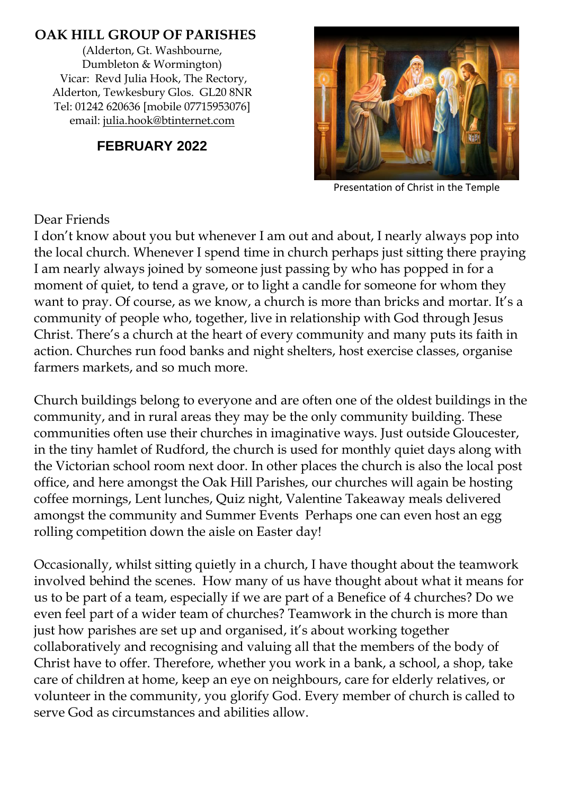#### **OAK HILL GROUP OF PARISHES**

(Alderton, Gt. Washbourne, Dumbleton & Wormington) Vicar: Revd Julia Hook, The Rectory, Alderton, Tewkesbury Glos. GL20 8NR Tel: 01242 620636 [mobile 07715953076] email: [julia.hook@btinternet.com](mailto:julia.hook@btinternet.com)

### **FEBRUARY 2022**



Presentation of Christ in the Temple

#### Dear Friends

I don't know about you but whenever I am out and about, I nearly always pop into the local church. Whenever I spend time in church perhaps just sitting there praying I am nearly always joined by someone just passing by who has popped in for a moment of quiet, to tend a grave, or to light a candle for someone for whom they want to pray. Of course, as we know, a church is more than bricks and mortar. It's a community of people who, together, live in relationship with God through Jesus Christ. There's a church at the heart of every community and many puts its faith in action. Churches run food banks and night shelters, host exercise classes, organise farmers markets, and so much more.

Church buildings belong to everyone and are often one of the oldest buildings in the community, and in rural areas they may be the only community building. These communities often use their churches in imaginative ways. Just outside Gloucester, in the tiny hamlet of Rudford, the church is used for monthly quiet days along with the Victorian school room next door. In other places the church is also the local post office, and here amongst the Oak Hill Parishes, our churches will again be hosting coffee mornings, Lent lunches, Quiz night, Valentine Takeaway meals delivered amongst the community and Summer Events Perhaps one can even host an egg rolling competition down the aisle on Easter day!

Occasionally, whilst sitting quietly in a church, I have thought about the teamwork involved behind the scenes. How many of us have thought about what it means for us to be part of a team, especially if we are part of a Benefice of 4 churches? Do we even feel part of a wider team of churches? Teamwork in the church is more than just how parishes are set up and organised, it's about working together collaboratively and recognising and valuing all that the members of the body of Christ have to offer. Therefore, whether you work in a bank, a school, a shop, take care of children at home, keep an eye on neighbours, care for elderly relatives, or volunteer in the community, you glorify God. Every member of church is called to serve God as circumstances and abilities allow.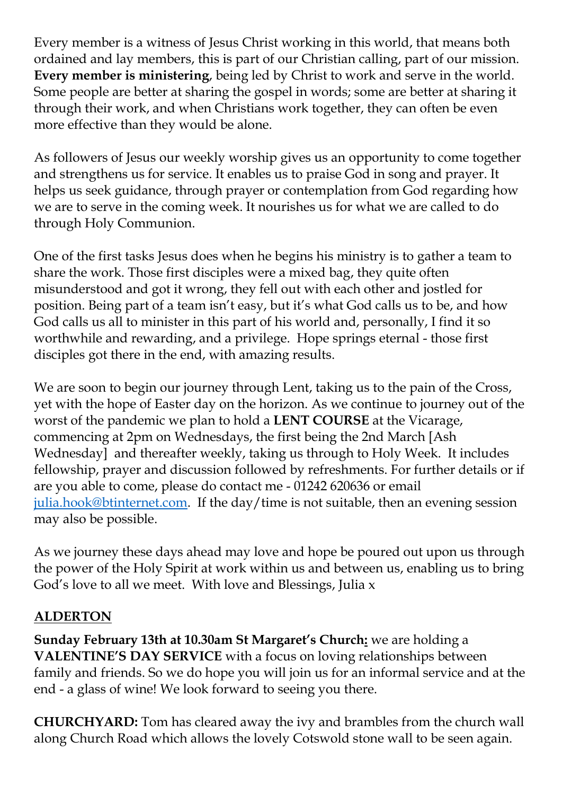Every member is a witness of Jesus Christ working in this world, that means both ordained and lay members, this is part of our Christian calling, part of our mission. **Every member is ministering**, being led by Christ to work and serve in the world. Some people are better at sharing the gospel in words; some are better at sharing it through their work, and when Christians work together, they can often be even more effective than they would be alone.

As followers of Jesus our weekly worship gives us an opportunity to come together and strengthens us for service. It enables us to praise God in song and prayer. It helps us seek guidance, through prayer or contemplation from God regarding how we are to serve in the coming week. It nourishes us for what we are called to do through Holy Communion.

One of the first tasks Jesus does when he begins his ministry is to gather a team to share the work. Those first disciples were a mixed bag, they quite often misunderstood and got it wrong, they fell out with each other and jostled for position. Being part of a team isn't easy, but it's what God calls us to be, and how God calls us all to minister in this part of his world and, personally, I find it so worthwhile and rewarding, and a privilege. Hope springs eternal - those first disciples got there in the end, with amazing results.

We are soon to begin our journey through Lent, taking us to the pain of the Cross, yet with the hope of Easter day on the horizon. As we continue to journey out of the worst of the pandemic we plan to hold a **LENT COURSE** at the Vicarage, commencing at 2pm on Wednesdays, the first being the 2nd March [Ash Wednesday] and thereafter weekly, taking us through to Holy Week. It includes fellowship, prayer and discussion followed by refreshments. For further details or if are you able to come, please do contact me - 01242 620636 or email [julia.hook@btinternet.com.](mailto:julia.hook@btinternet.com) If the day/time is not suitable, then an evening session may also be possible.

As we journey these days ahead may love and hope be poured out upon us through the power of the Holy Spirit at work within us and between us, enabling us to bring God's love to all we meet. With love and Blessings, Julia x

### **ALDERTON**

**Sunday February 13th at 10.30am St Margaret's Church:** we are holding a **VALENTINE'S DAY SERVICE** with a focus on loving relationships between family and friends. So we do hope you will join us for an informal service and at the end - a glass of wine! We look forward to seeing you there.

**CHURCHYARD:** Tom has cleared away the ivy and brambles from the church wall along Church Road which allows the lovely Cotswold stone wall to be seen again.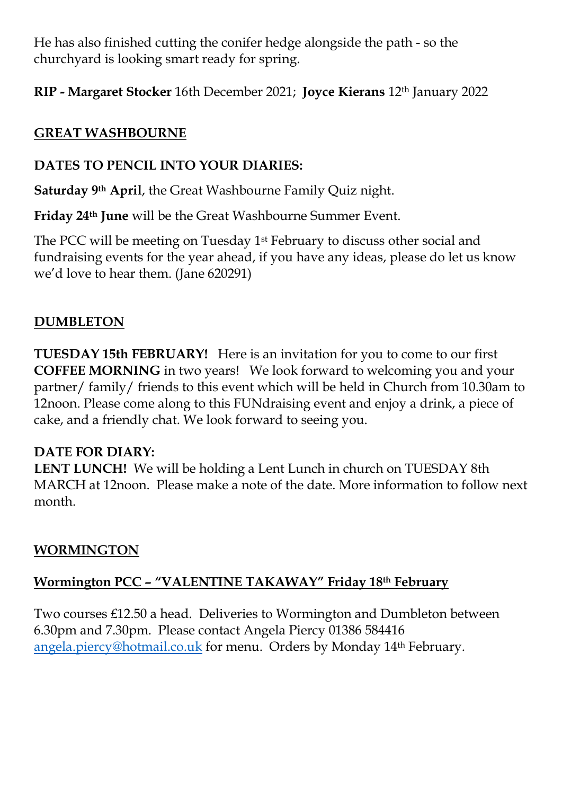He has also finished cutting the conifer hedge alongside the path - so the churchyard is looking smart ready for spring.

**RIP - Margaret Stocker** 16th December 2021; **Joyce Kierans** 12th January 2022

### **GREAT WASHBOURNE**

### **DATES TO PENCIL INTO YOUR DIARIES:**

**Saturday 9th April**, the Great Washbourne Family Quiz night.

**Friday 24th June** will be the Great Washbourne Summer Event.

The PCC will be meeting on Tuesday 1st February to discuss other social and fundraising events for the year ahead, if you have any ideas, please do let us know we'd love to hear them. (Jane 620291)

## **DUMBLETON**

**TUESDAY 15th FEBRUARY!** Here is an invitation for you to come to our first **COFFEE MORNING** in two years! We look forward to welcoming you and your partner/ family/ friends to this event which will be held in Church from 10.30am to 12noon. Please come along to this FUNdraising event and enjoy a drink, a piece of cake, and a friendly chat. We look forward to seeing you.

### **DATE FOR DIARY:**

**LENT LUNCH!** We will be holding a Lent Lunch in church on TUESDAY 8th MARCH at 12noon. Please make a note of the date. More information to follow next month.

### **WORMINGTON**

## **Wormington PCC – "VALENTINE TAKAWAY" Friday 18th February**

Two courses £12.50 a head. Deliveries to Wormington and Dumbleton between 6.30pm and 7.30pm. Please contact Angela Piercy 01386 584416 [angela.piercy@hotmail.co.uk](mailto:angela.piercy@hotmail.co.uk) for menu. Orders by Monday 14th February.